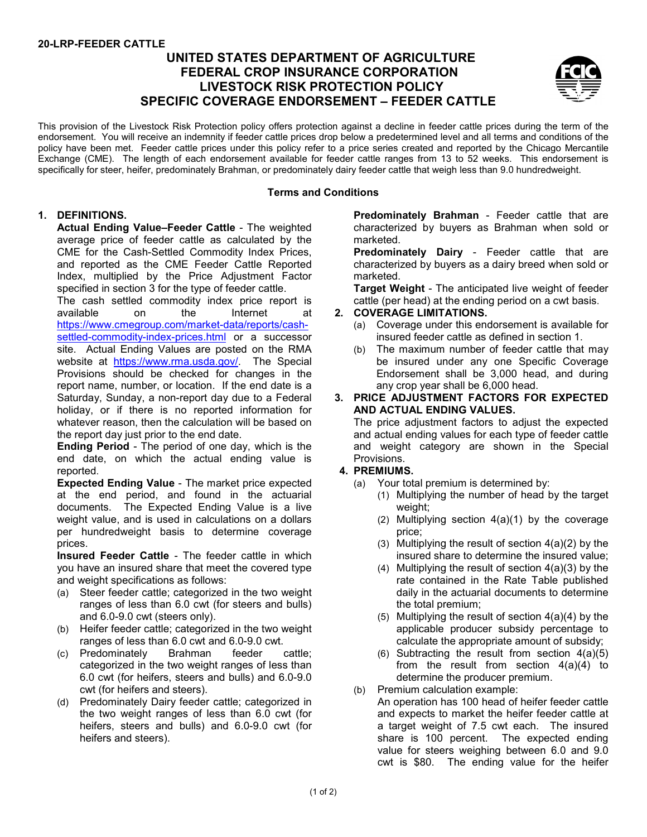# **UNITED STATES DEPARTMENT OF AGRICULTURE FEDERAL CROP INSURANCE CORPORATION LIVESTOCK RISK PROTECTION POLICY SPECIFIC COVERAGE ENDORSEMENT – FEEDER CATTLE**



This provision of the Livestock Risk Protection policy offers protection against a decline in feeder cattle prices during the term of the endorsement. You will receive an indemnity if feeder cattle prices drop below a predetermined level and all terms and conditions of the policy have been met. Feeder cattle prices under this policy refer to a price series created and reported by the Chicago Mercantile Exchange (CME). The length of each endorsement available for feeder cattle ranges from 13 to 52 weeks. This endorsement is specifically for steer, heifer, predominately Brahman, or predominately dairy feeder cattle that weigh less than 9.0 hundredweight.

### **Terms and Conditions**

## **1. DEFINITIONS.**

**Actual Ending Value–Feeder Cattle** - The weighted average price of feeder cattle as calculated by the CME for the Cash-Settled Commodity Index Prices, and reported as the CME Feeder Cattle Reported Index, multiplied by the Price Adjustment Factor specified in section 3 for the type of feeder cattle.

The cash settled commodity index price report is<br>available on the lnternet at available on the Internet at

[https://www.cmegroup.com/market-data/reports/cash](https://www.cmegroup.com/market-data/reports/cash-settled-commodity-index-prices.html)[settled-commodity-index-prices.html](https://www.cmegroup.com/market-data/reports/cash-settled-commodity-index-prices.html) or a successor site. Actual Ending Values are posted on the RMA website at [https://www.rma.usda.gov/.](https://www.rma.usda.gov/) The Special Provisions should be checked for changes in the report name, number, or location. If the end date is a Saturday, Sunday, a non-report day due to a Federal holiday, or if there is no reported information for whatever reason, then the calculation will be based on the report day just prior to the end date.

**Ending Period** - The period of one day, which is the end date, on which the actual ending value is reported.

**Expected Ending Value** - The market price expected at the end period, and found in the actuarial documents. The Expected Ending Value is a live weight value, and is used in calculations on a dollars per hundredweight basis to determine coverage prices.

**Insured Feeder Cattle** - The feeder cattle in which you have an insured share that meet the covered type and weight specifications as follows:

- (a) Steer feeder cattle; categorized in the two weight ranges of less than 6.0 cwt (for steers and bulls) and 6.0-9.0 cwt (steers only).
- (b) Heifer feeder cattle; categorized in the two weight ranges of less than 6.0 cwt and 6.0-9.0 cwt.
- (c) Predominately Brahman feeder cattle; categorized in the two weight ranges of less than 6.0 cwt (for heifers, steers and bulls) and 6.0-9.0 cwt (for heifers and steers).
- (d) Predominately Dairy feeder cattle; categorized in the two weight ranges of less than 6.0 cwt (for heifers, steers and bulls) and 6.0-9.0 cwt (for heifers and steers).

**Predominately Brahman** - Feeder cattle that are characterized by buyers as Brahman when sold or marketed.

**Predominately Dairy** - Feeder cattle that are characterized by buyers as a dairy breed when sold or marketed.

**Target Weight** - The anticipated live weight of feeder cattle (per head) at the ending period on a cwt basis.

### **2. COVERAGE LIMITATIONS.**

- (a) Coverage under this endorsement is available for insured feeder cattle as defined in section 1.
- (b) The maximum number of feeder cattle that may be insured under any one Specific Coverage Endorsement shall be 3,000 head, and during any crop year shall be 6,000 head.

#### **3. PRICE ADJUSTMENT FACTORS FOR EXPECTED AND ACTUAL ENDING VALUES.**

The price adjustment factors to adjust the expected and actual ending values for each type of feeder cattle and weight category are shown in the Special Provisions.

### **4. PREMIUMS.**

- (a) Your total premium is determined by:
	- (1) Multiplying the number of head by the target weight;
	- (2) Multiplying section 4(a)(1) by the coverage price;
	- (3) Multiplying the result of section 4(a)(2) by the insured share to determine the insured value;
	- (4) Multiplying the result of section  $4(a)(3)$  by the rate contained in the Rate Table published daily in the actuarial documents to determine the total premium;
	- (5) Multiplying the result of section  $4(a)(4)$  by the applicable producer subsidy percentage to calculate the appropriate amount of subsidy;
	- (6) Subtracting the result from section  $4(a)(5)$ from the result from section 4(a)(4) to determine the producer premium.
- (b) Premium calculation example:
	- An operation has 100 head of heifer feeder cattle and expects to market the heifer feeder cattle at a target weight of 7.5 cwt each. The insured share is 100 percent. The expected ending value for steers weighing between 6.0 and 9.0 cwt is \$80. The ending value for the heifer